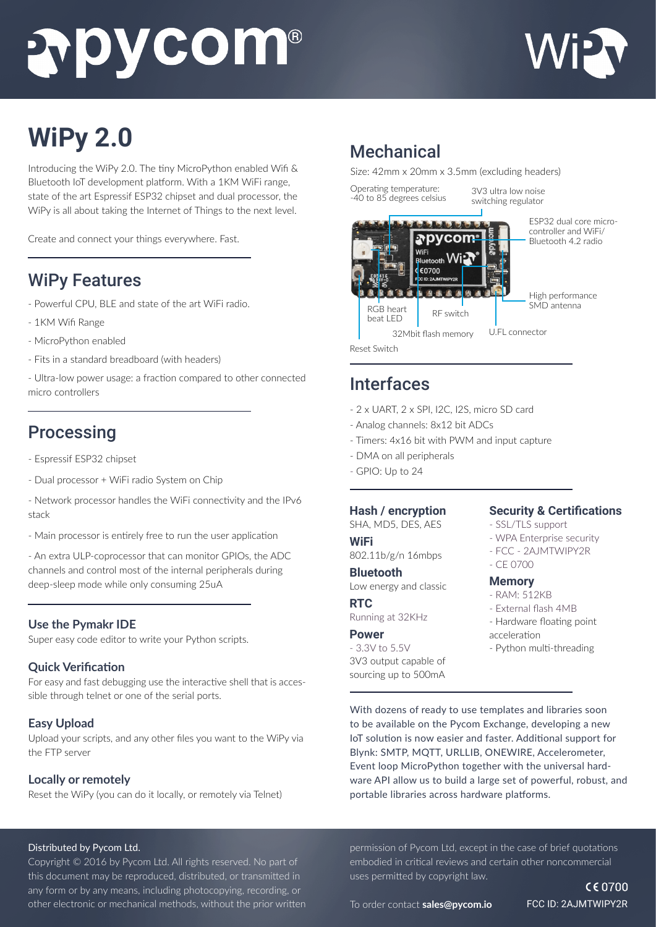# **Subycom®**



## **WiPy 2.0**

Introducing the WiPy 2.0. The tiny MicroPython enabled Wifi & Bluetooth IoT development platform. With a 1KM WiFi range, state of the art Espressif ESP32 chipset and dual processor, the WiPy is all about taking the Internet of Things to the next level.

Create and connect your things everywhere. Fast.

## WiPy Features

- Powerful CPU, BLE and state of the art WiFi radio.
- 1KM Wifi Range
- MicroPython enabled
- Fits in a standard breadboard (with headers)

- Ultra-low power usage: a fraction compared to other connected micro controllers

### Processing

- Espressif ESP32 chipset
- Dual processor + WiFi radio System on Chip
- Network processor handles the WiFi connectivity and the IPv6 stack
- Main processor is entirely free to run the user application

- An extra ULP-coprocessor that can monitor GPIOs, the ADC channels and control most of the internal peripherals during deep-sleep mode while only consuming 25uA

#### **Use the Pymakr IDE**

Super easy code editor to write your Python scripts.

#### **Quick Verification**

For easy and fast debugging use the interactive shell that is accessible through telnet or one of the serial ports.

#### **Easy Upload**

Upload your scripts, and any other files you want to the WiPy via the FTP server

#### **Locally or remotely**

Reset the WiPy (you can do it locally, or remotely via Telnet)

## Mechanical

Size: 42mm x 20mm x 3.5mm (excluding headers)

Operating temperature: -40 to 85 degrees celsius

3V3 ultra low noise switching regulator



## Interfaces

- 2 x UART, 2 x SPI, I2C, I2S, micro SD card
- Analog channels: 8x12 bit ADCs
- Timers: 4x16 bit with PWM and input capture
- DMA on all peripherals
- GPIO: Up to 24

#### **Hash / encryption**

SHA, MD5, DES, AES

#### **WiFi**

802.11b/g/n 16mbps

**Bluetooth** Low energy and classic

#### **RTC**

Running at 32KHz

#### **Power**

- 3.3V to 5.5V 3V3 output capable of sourcing up to 500mA

#### **Security & Certifications**

- SSL/TLS support
- WPA Enterprise security
- FCC 2AJMTWIPY2R
- CE 0700

#### **Memory**

- RAM: 512KB
- External flash 4MB - Hardware floating point
- acceleration
- Python multi-threading

With dozens of ready to use templates and libraries soon to be available on the Pycom Exchange, developing a new IoT solution is now easier and faster. Additional support for Blynk: SMTP, MQTT, URLLIB, ONEWIRE, Accelerometer, Event loop MicroPython together with the universal hardware API allow us to build a large set of powerful, robust, and portable libraries across hardware platforms.

#### Distributed by Pycom Ltd.

Copyright © 2016 by Pycom Ltd. All rights reserved. No part of this document may be reproduced, distributed, or transmitted in any form or by any means, including photocopying, recording, or other electronic or mechanical methods, without the prior written permission of Pycom Ltd, except in the case of brief quotations embodied in critical reviews and certain other noncommercial uses permitted by copyright law.

 $C \in 0700$ FCC ID: 2AJMTWIPY2R

To order contact **sales@pycom.io**